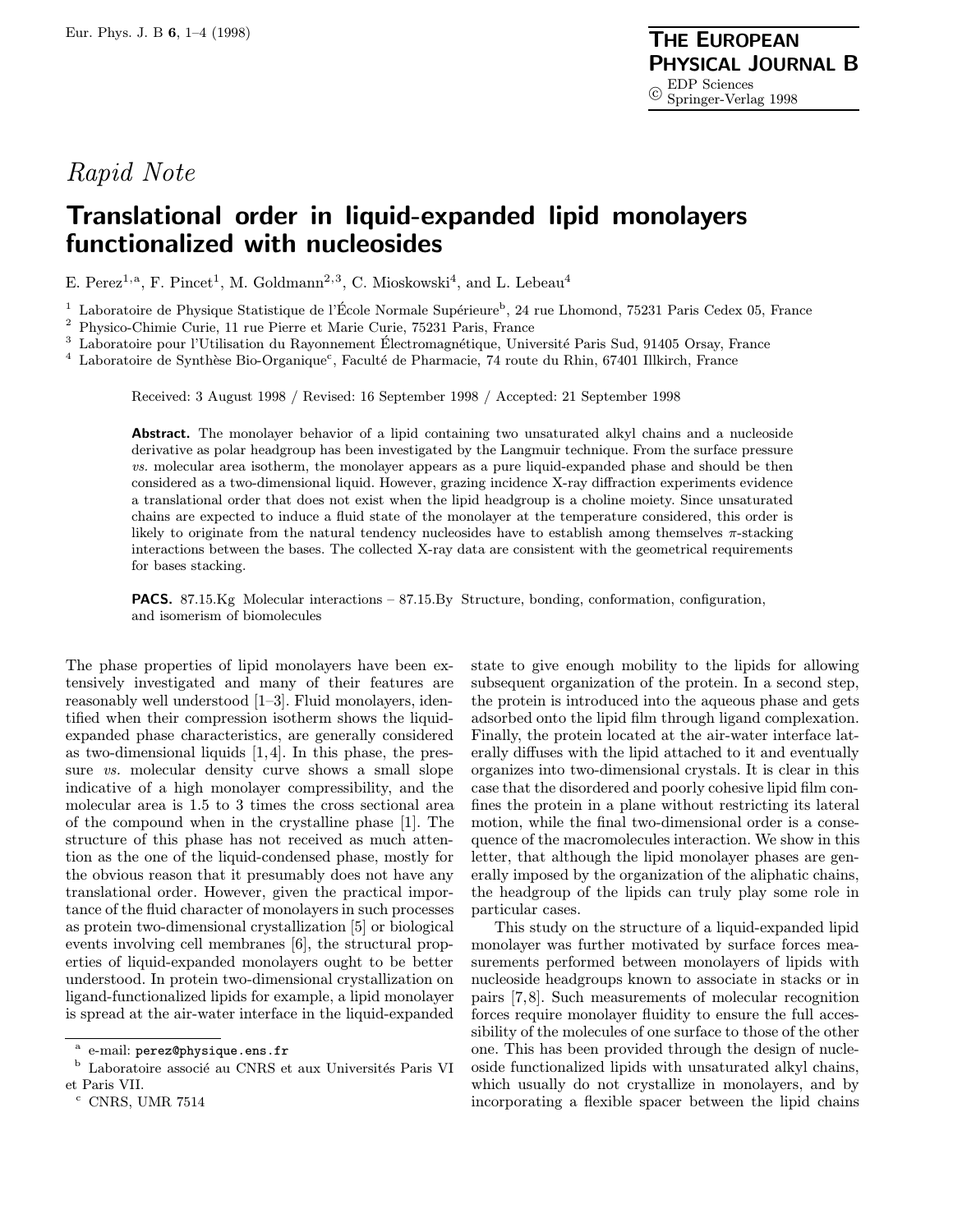## Rapid Note

## Translational order in liquid-expanded lipid monolayers functionalized with nucleosides

E. Perez<sup>1,a</sup>, F. Pincet<sup>1</sup>, M. Goldmann<sup>2,3</sup>, C. Mioskowski<sup>4</sup>, and L. Lebeau<sup>4</sup>

<sup>1</sup> Laboratoire de Physique Statistique de l'École Normale Supérieure<sup>b</sup>, 24 rue Lhomond, 75231 Paris Cedex 05, France

<sup>2</sup> Physico-Chimie Curie, 11 rue Pierre et Marie Curie, 75231 Paris, France

 $^3\,$  Laboratoire pour l'Utilisation du Rayonnement Électromagnétique, Université Paris Sud, 91405 Orsay, France

 $^4\,$  Laboratoire de Synthèse Bio-Organique<sup>c</sup>, Faculté de Pharmacie, 74 route du Rhin, 67401 Illkirch, France

Received: 3 August 1998 / Revised: 16 September 1998 / Accepted: 21 September 1998

Abstract. The monolayer behavior of a lipid containing two unsaturated alkyl chains and a nucleoside derivative as polar headgroup has been investigated by the Langmuir technique. From the surface pressure vs. molecular area isotherm, the monolayer appears as a pure liquid-expanded phase and should be then considered as a two-dimensional liquid. However, grazing incidence X-ray diffraction experiments evidence a translational order that does not exist when the lipid headgroup is a choline moiety. Since unsaturated chains are expected to induce a fluid state of the monolayer at the temperature considered, this order is likely to originate from the natural tendency nucleosides have to establish among themselves  $\pi$ -stacking interactions between the bases. The collected X-ray data are consistent with the geometrical requirements for bases stacking.

PACS. 87.15.Kg Molecular interactions – 87.15.By Structure, bonding, conformation, configuration, and isomerism of biomolecules

The phase properties of lipid monolayers have been extensively investigated and many of their features are reasonably well understood [1–3]. Fluid monolayers, identified when their compression isotherm shows the liquidexpanded phase characteristics, are generally considered as two-dimensional liquids [1,4]. In this phase, the pressure vs. molecular density curve shows a small slope indicative of a high monolayer compressibility, and the molecular area is 1.5 to 3 times the cross sectional area of the compound when in the crystalline phase [1]. The structure of this phase has not received as much attention as the one of the liquid-condensed phase, mostly for the obvious reason that it presumably does not have any translational order. However, given the practical importance of the fluid character of monolayers in such processes as protein two-dimensional crystallization [5] or biological events involving cell membranes [6], the structural properties of liquid-expanded monolayers ought to be better understood. In protein two-dimensional crystallization on ligand-functionalized lipids for example, a lipid monolayer is spread at the air-water interface in the liquid-expanded

state to give enough mobility to the lipids for allowing subsequent organization of the protein. In a second step, the protein is introduced into the aqueous phase and gets adsorbed onto the lipid film through ligand complexation. Finally, the protein located at the air-water interface laterally diffuses with the lipid attached to it and eventually organizes into two-dimensional crystals. It is clear in this case that the disordered and poorly cohesive lipid film confines the protein in a plane without restricting its lateral motion, while the final two-dimensional order is a consequence of the macromolecules interaction. We show in this letter, that although the lipid monolayer phases are generally imposed by the organization of the aliphatic chains, the headgroup of the lipids can truly play some role in particular cases.

This study on the structure of a liquid-expanded lipid monolayer was further motivated by surface forces measurements performed between monolayers of lipids with nucleoside headgroups known to associate in stacks or in pairs [7,8]. Such measurements of molecular recognition forces require monolayer fluidity to ensure the full accessibility of the molecules of one surface to those of the other one. This has been provided through the design of nucleoside functionalized lipids with unsaturated alkyl chains, which usually do not crystallize in monolayers, and by incorporating a flexible spacer between the lipid chains

e-mail: perez@physique.ens.fr

 $^{\rm b}$  Laboratoire associé au CNRS et aux Universités Paris VI et Paris VII.

 $c$  CNRS, UMR 7514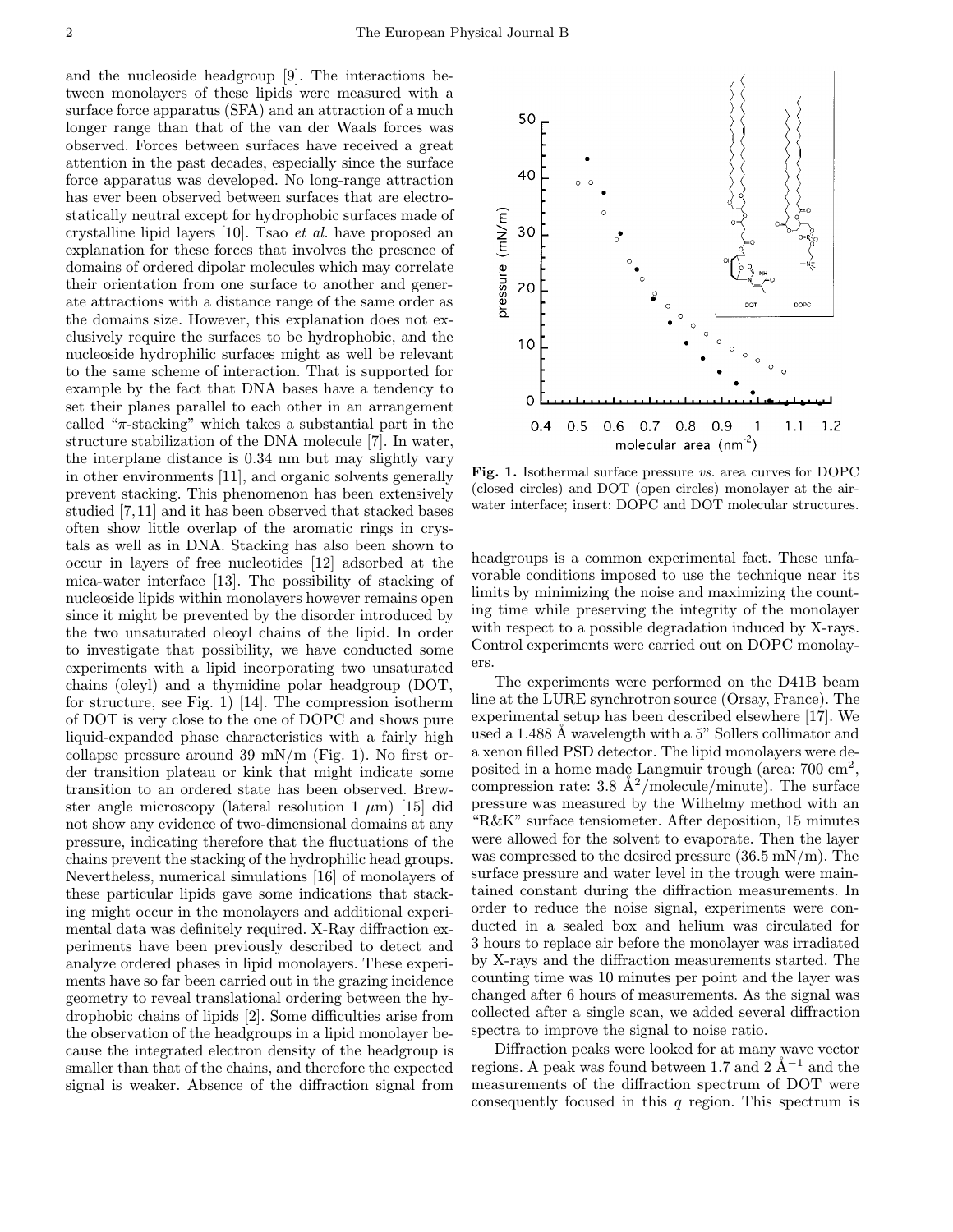and the nucleoside headgroup [9]. The interactions between monolayers of these lipids were measured with a surface force apparatus (SFA) and an attraction of a much longer range than that of the van der Waals forces was observed. Forces between surfaces have received a great attention in the past decades, especially since the surface force apparatus was developed. No long-range attraction has ever been observed between surfaces that are electrostatically neutral except for hydrophobic surfaces made of crystalline lipid layers [10]. Tsao et al. have proposed an explanation for these forces that involves the presence of domains of ordered dipolar molecules which may correlate their orientation from one surface to another and generate attractions with a distance range of the same order as the domains size. However, this explanation does not exclusively require the surfaces to be hydrophobic, and the nucleoside hydrophilic surfaces might as well be relevant to the same scheme of interaction. That is supported for example by the fact that DNA bases have a tendency to set their planes parallel to each other in an arrangement called " $\pi$ -stacking" which takes a substantial part in the structure stabilization of the DNA molecule [7]. In water, the interplane distance is 0.34 nm but may slightly vary in other environments [11], and organic solvents generally prevent stacking. This phenomenon has been extensively studied [7,11] and it has been observed that stacked bases often show little overlap of the aromatic rings in crystals as well as in DNA. Stacking has also been shown to occur in layers of free nucleotides [12] adsorbed at the mica-water interface [13]. The possibility of stacking of nucleoside lipids within monolayers however remains open since it might be prevented by the disorder introduced by the two unsaturated oleoyl chains of the lipid. In order to investigate that possibility, we have conducted some experiments with a lipid incorporating two unsaturated chains (oleyl) and a thymidine polar headgroup (DOT, for structure, see Fig. 1) [14]. The compression isotherm of DOT is very close to the one of DOPC and shows pure liquid-expanded phase characteristics with a fairly high collapse pressure around 39 mN/m (Fig. 1). No first order transition plateau or kink that might indicate some transition to an ordered state has been observed. Brewster angle microscopy (lateral resolution 1  $\mu$ m) [15] did not show any evidence of two-dimensional domains at any pressure, indicating therefore that the fluctuations of the chains prevent the stacking of the hydrophilic head groups. Nevertheless, numerical simulations [16] of monolayers of these particular lipids gave some indications that stacking might occur in the monolayers and additional experimental data was definitely required. X-Ray diffraction experiments have been previously described to detect and analyze ordered phases in lipid monolayers. These experiments have so far been carried out in the grazing incidence geometry to reveal translational ordering between the hydrophobic chains of lipids [2]. Some difficulties arise from the observation of the headgroups in a lipid monolayer because the integrated electron density of the headgroup is smaller than that of the chains, and therefore the expected signal is weaker. Absence of the diffraction signal from



Fig. 1. Isothermal surface pressure vs. area curves for DOPC (closed circles) and DOT (open circles) monolayer at the airwater interface; insert: DOPC and DOT molecular structures.

headgroups is a common experimental fact. These unfavorable conditions imposed to use the technique near its limits by minimizing the noise and maximizing the counting time while preserving the integrity of the monolayer with respect to a possible degradation induced by X-rays. Control experiments were carried out on DOPC monolayers.

The experiments were performed on the D41B beam line at the LURE synchrotron source (Orsay, France). The experimental setup has been described elsewhere [17]. We used a 1.488 A wavelength with a 5" Sollers collimator and a xenon filled PSD detector. The lipid monolayers were deposited in a home made Langmuir trough (area: 700 cm<sup>2</sup>, compression rate:  $3.8 \text{ Å}^2/\text{molecule}/\text{minute}$ ). The surface pressure was measured by the Wilhelmy method with an "R&K" surface tensiometer. After deposition, 15 minutes were allowed for the solvent to evaporate. Then the layer was compressed to the desired pressure  $(36.5 \text{ mN/m})$ . The surface pressure and water level in the trough were maintained constant during the diffraction measurements. In order to reduce the noise signal, experiments were conducted in a sealed box and helium was circulated for 3 hours to replace air before the monolayer was irradiated by X-rays and the diffraction measurements started. The counting time was 10 minutes per point and the layer was changed after 6 hours of measurements. As the signal was collected after a single scan, we added several diffraction spectra to improve the signal to noise ratio.

Diffraction peaks were looked for at many wave vector regions. A peak was found between 1.7 and  $2 \text{ Å}^{-1}$  and the measurements of the diffraction spectrum of DOT were consequently focused in this  $q$  region. This spectrum is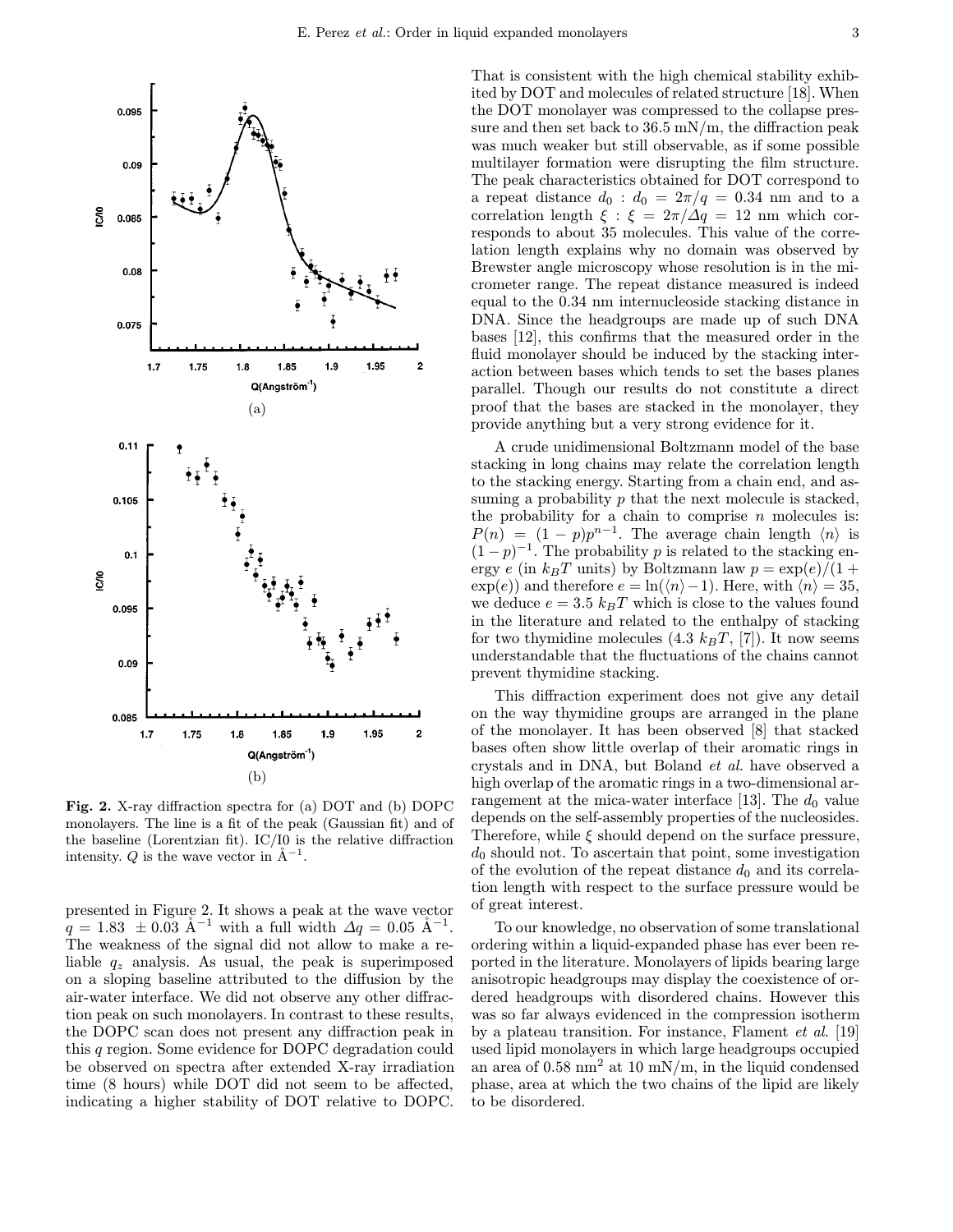

Fig. 2. X-ray diffraction spectra for (a) DOT and (b) DOPC monolayers. The line is a fit of the peak (Gaussian fit) and of the baseline (Lorentzian fit). IC/I0 is the relative diffraction intensity. Q is the wave vector in  $\AA^{-1}$ .

presented in Figure 2. It shows a peak at the wave vector  $q = 1.83 \pm 0.03$  Å<sup>-1</sup> with a full width  $\Delta q = 0.05$  Å<sup>-1</sup>. The weakness of the signal did not allow to make a reliable  $q_z$  analysis. As usual, the peak is superimposed on a sloping baseline attributed to the diffusion by the air-water interface. We did not observe any other diffraction peak on such monolayers. In contrast to these results, the DOPC scan does not present any diffraction peak in this q region. Some evidence for DOPC degradation could be observed on spectra after extended X-ray irradiation time (8 hours) while DOT did not seem to be affected, indicating a higher stability of DOT relative to DOPC.

That is consistent with the high chemical stability exhibited by DOT and molecules of related structure [18]. When the DOT monolayer was compressed to the collapse pressure and then set back to 36.5 mN/m, the diffraction peak was much weaker but still observable, as if some possible multilayer formation were disrupting the film structure. The peak characteristics obtained for DOT correspond to a repeat distance  $d_0$ :  $d_0 = 2\pi/q = 0.34$  nm and to a correlation length  $\xi$  :  $\xi = 2\pi/\Delta q = 12$  nm which corresponds to about 35 molecules. This value of the correlation length explains why no domain was observed by Brewster angle microscopy whose resolution is in the micrometer range. The repeat distance measured is indeed equal to the 0.34 nm internucleoside stacking distance in DNA. Since the headgroups are made up of such DNA bases [12], this confirms that the measured order in the fluid monolayer should be induced by the stacking interaction between bases which tends to set the bases planes parallel. Though our results do not constitute a direct proof that the bases are stacked in the monolayer, they provide anything but a very strong evidence for it.

A crude unidimensional Boltzmann model of the base stacking in long chains may relate the correlation length to the stacking energy. Starting from a chain end, and assuming a probability p that the next molecule is stacked, the probability for a chain to comprise  $n$  molecules is:  $P(n) = (1-p)p^{n-1}$ . The average chain length  $\langle n \rangle$  is  $(1-p)^{-1}$ . The probability p is related to the stacking energy e (in  $k_BT$  units) by Boltzmann law  $p = \exp(e)/(1 +$  $\exp(e)$  and therefore  $e = \ln(\langle n \rangle - 1)$ . Here, with  $\langle n \rangle = 35$ , we deduce  $e = 3.5 k_BT$  which is close to the values found in the literature and related to the enthalpy of stacking for two thymidine molecules  $(4.3 \; k_BT, 7]$ . It now seems understandable that the fluctuations of the chains cannot prevent thymidine stacking.

This diffraction experiment does not give any detail on the way thymidine groups are arranged in the plane of the monolayer. It has been observed [8] that stacked bases often show little overlap of their aromatic rings in crystals and in DNA, but Boland et al. have observed a high overlap of the aromatic rings in a two-dimensional arrangement at the mica-water interface [13]. The  $d_0$  value depends on the self-assembly properties of the nucleosides. Therefore, while  $\xi$  should depend on the surface pressure,  $d_0$  should not. To ascertain that point, some investigation of the evolution of the repeat distance  $d_0$  and its correlation length with respect to the surface pressure would be of great interest.

To our knowledge, no observation of some translational ordering within a liquid-expanded phase has ever been reported in the literature. Monolayers of lipids bearing large anisotropic headgroups may display the coexistence of ordered headgroups with disordered chains. However this was so far always evidenced in the compression isotherm by a plateau transition. For instance, Flament et al. [19] used lipid monolayers in which large headgroups occupied an area of  $0.58 \text{ nm}^2$  at 10 mN/m, in the liquid condensed phase, area at which the two chains of the lipid are likely to be disordered.